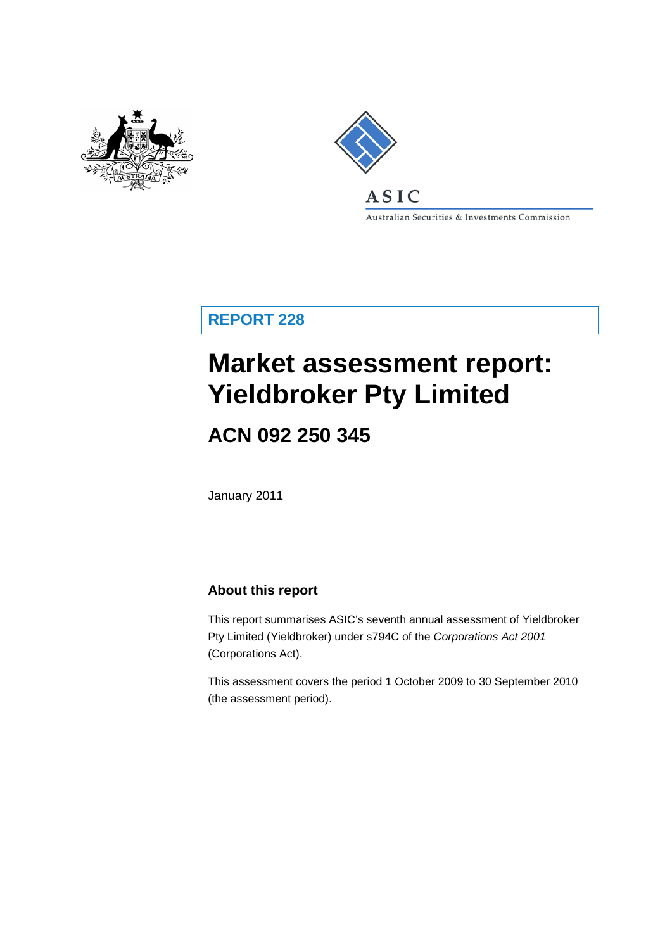



Australian Securities & Investments Commission

**REPORT 228**

# **Market assessment report: Yieldbroker Pty Limited**

## **ACN 092 250 345**

January 2011

### **About this report**

This report summarises ASIC's seventh annual assessment of Yieldbroker Pty Limited (Yieldbroker) under s794C of the *Corporations Act 2001* (Corporations Act).

This assessment covers the period 1 October 2009 to 30 September 2010 (the assessment period).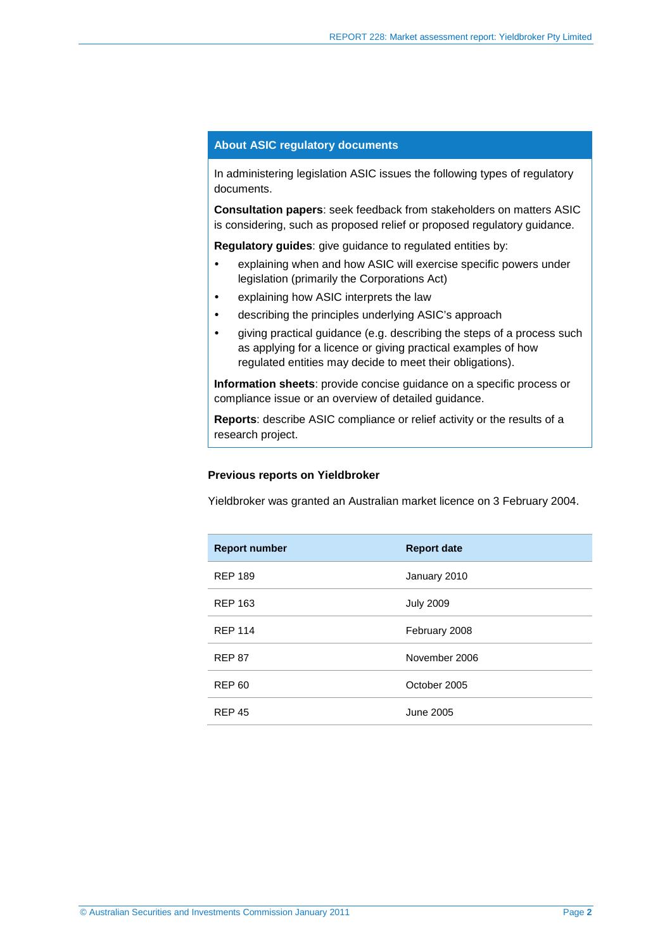#### **About ASIC regulatory documents**

In administering legislation ASIC issues the following types of regulatory documents.

**Consultation papers**: seek feedback from stakeholders on matters ASIC is considering, such as proposed relief or proposed regulatory guidance.

**Regulatory guides**: give guidance to regulated entities by:

- explaining when and how ASIC will exercise specific powers under legislation (primarily the Corporations Act)
- explaining how ASIC interprets the law
- describing the principles underlying ASIC's approach
- giving practical guidance (e.g. describing the steps of a process such as applying for a licence or giving practical examples of how regulated entities may decide to meet their obligations).

**Information sheets**: provide concise guidance on a specific process or compliance issue or an overview of detailed guidance.

**Reports**: describe ASIC compliance or relief activity or the results of a research project.

#### **Previous reports on Yieldbroker**

Yieldbroker was granted an Australian market licence on 3 February 2004.

| <b>Report number</b> | <b>Report date</b> |
|----------------------|--------------------|
| <b>REP 189</b>       | January 2010       |
| <b>REP 163</b>       | <b>July 2009</b>   |
| <b>REP 114</b>       | February 2008      |
| <b>REP 87</b>        | November 2006      |
| <b>REP 60</b>        | October 2005       |
| <b>REP 45</b>        | June 2005          |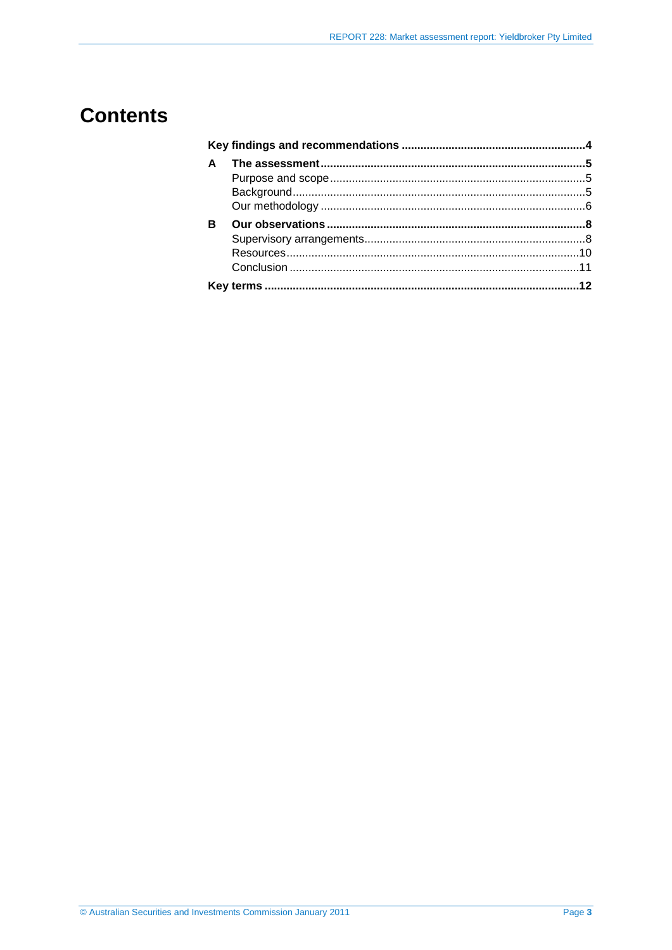## **Contents**

| A |  |
|---|--|
|   |  |
|   |  |
|   |  |
| в |  |
|   |  |
|   |  |
|   |  |
|   |  |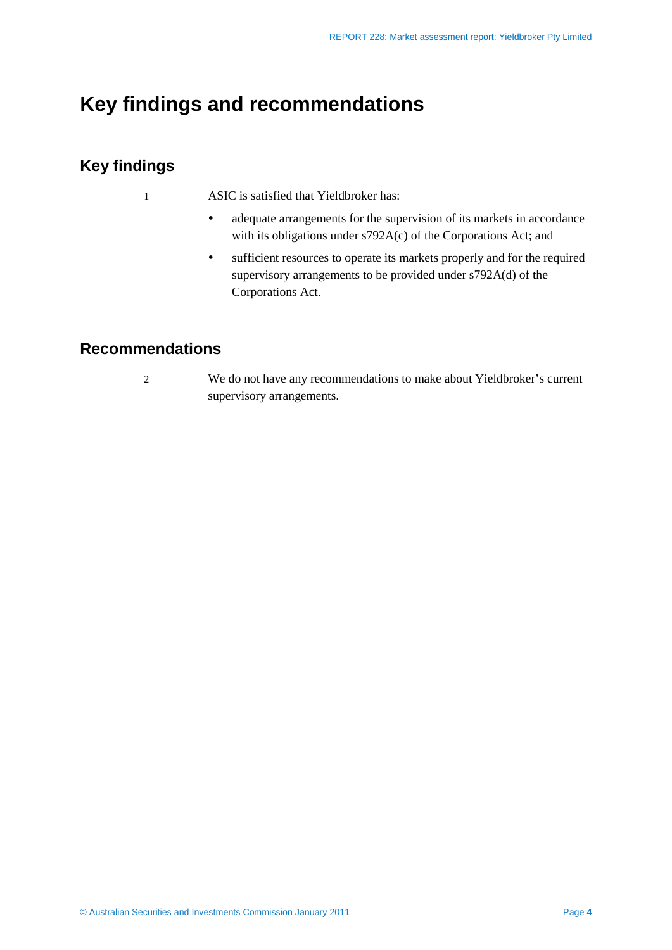## <span id="page-3-0"></span>**Key findings and recommendations**

## **Key findings**

- 1 ASIC is satisfied that Yieldbroker has:
	- adequate arrangements for the supervision of its markets in accordance with its obligations under s792A(c) of the Corporations Act; and
	- sufficient resources to operate its markets properly and for the required supervisory arrangements to be provided under s792A(d) of the Corporations Act.

## **Recommendations**

- 
- 2 We do not have any recommendations to make about Yieldbroker's current supervisory arrangements.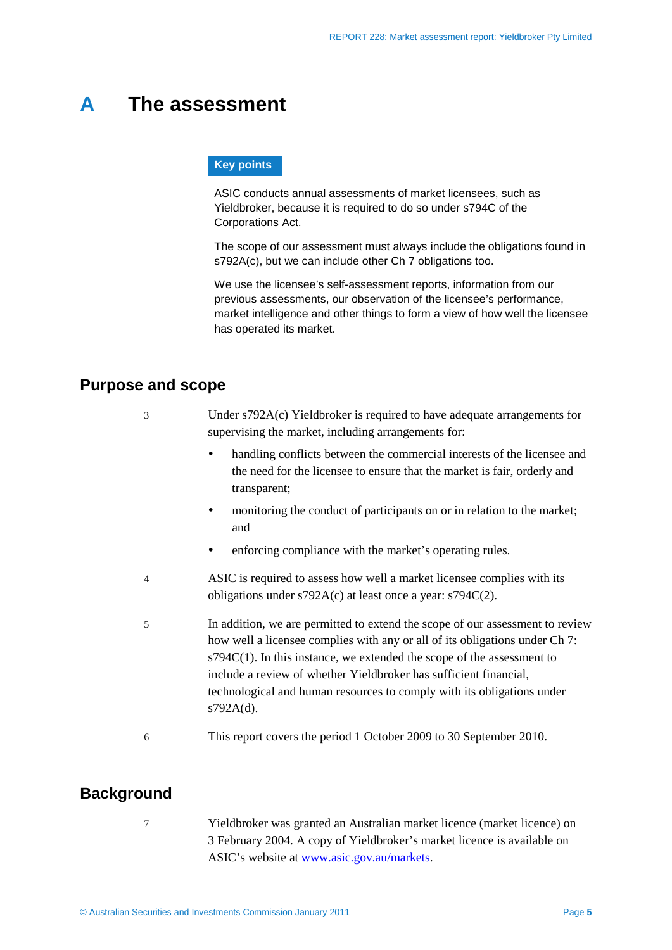## <span id="page-4-0"></span>**A The assessment**

#### **Key points**

ASIC conducts annual assessments of market licensees, such as Yieldbroker, because it is required to do so under s794C of the Corporations Act.

The scope of our assessment must always include the obligations found in s792A(c), but we can include other Ch 7 obligations too.

We use the licensee's self-assessment reports, information from our previous assessments, our observation of the licensee's performance, market intelligence and other things to form a view of how well the licensee has operated its market.

### <span id="page-4-1"></span>**Purpose and scope**

| 3        | Under s792A(c) Yieldbroker is required to have adequate arrangements for<br>supervising the market, including arrangements for:                                                                                                                                                                                                                                                                          |  |
|----------|----------------------------------------------------------------------------------------------------------------------------------------------------------------------------------------------------------------------------------------------------------------------------------------------------------------------------------------------------------------------------------------------------------|--|
|          | handling conflicts between the commercial interests of the licensee and<br>٠<br>the need for the licensee to ensure that the market is fair, orderly and<br>transparent;                                                                                                                                                                                                                                 |  |
|          | monitoring the conduct of participants on or in relation to the market;<br>and                                                                                                                                                                                                                                                                                                                           |  |
|          | enforcing compliance with the market's operating rules.                                                                                                                                                                                                                                                                                                                                                  |  |
| 4        | ASIC is required to assess how well a market licensee complies with its<br>obligations under $s792A(c)$ at least once a year: $s794C(2)$ .                                                                                                                                                                                                                                                               |  |
| 5        | In addition, we are permitted to extend the scope of our assessment to review<br>how well a licensee complies with any or all of its obligations under Ch 7:<br>$s794C(1)$ . In this instance, we extended the scope of the assessment to<br>include a review of whether Yieldbroker has sufficient financial,<br>technological and human resources to comply with its obligations under<br>$s792A(d)$ . |  |
| 6        | This report covers the period 1 October 2009 to 30 September 2010.                                                                                                                                                                                                                                                                                                                                       |  |
| المحبرين |                                                                                                                                                                                                                                                                                                                                                                                                          |  |

### <span id="page-4-2"></span>**Background**

7 Yieldbroker was granted an Australian market licence (market licence) on 3 February 2004. A copy of Yieldbroker's market licence is available on ASIC's website at [www.asic.gov.au/markets.](http://www.asic.gov.au/markets)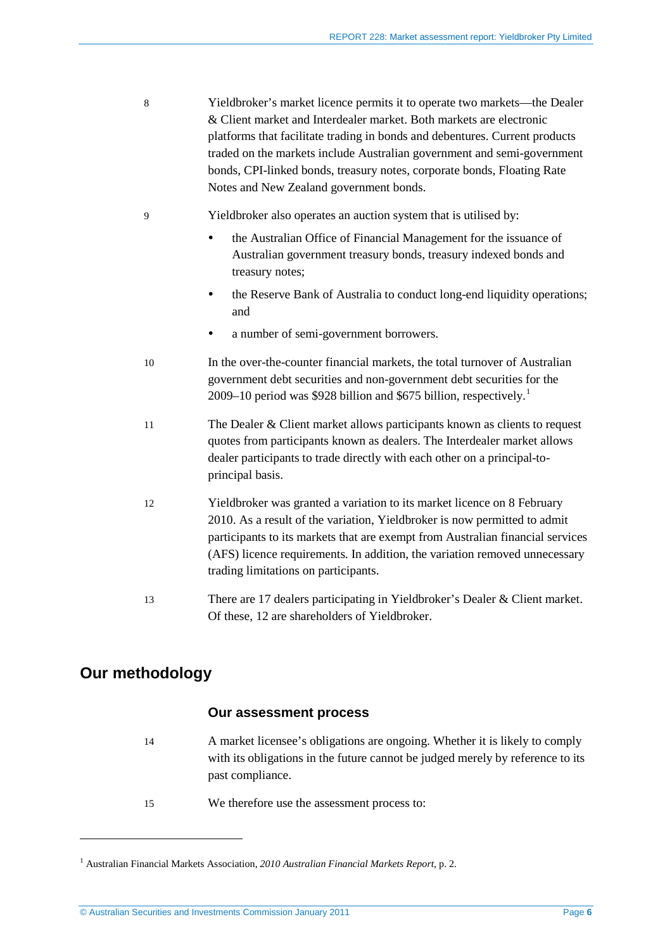- 8 Yieldbroker's market licence permits it to operate two markets—the Dealer & Client market and Interdealer market. Both markets are electronic platforms that facilitate trading in bonds and debentures. Current products traded on the markets include Australian government and semi-government bonds, CPI-linked bonds, treasury notes, corporate bonds, Floating Rate Notes and New Zealand government bonds.
- 9 Yieldbroker also operates an auction system that is utilised by:
	- the Australian Office of Financial Management for the issuance of Australian government treasury bonds, treasury indexed bonds and treasury notes;
	- the Reserve Bank of Australia to conduct long-end liquidity operations; and
	- a number of semi-government borrowers.
- 10 In the over-the-counter financial markets, the total turnover of Australian government debt securities and non-government debt securities for the 2009–10 period was \$928 billion and \$675 billion, respectively. [1](#page-5-1)
- 11 The Dealer & Client market allows participants known as clients to request quotes from participants known as dealers. The Interdealer market allows dealer participants to trade directly with each other on a principal-toprincipal basis.
- 12 Yieldbroker was granted a variation to its market licence on 8 February 2010. As a result of the variation, Yieldbroker is now permitted to admit participants to its markets that are exempt from Australian financial services (AFS) licence requirements. In addition, the variation removed unnecessary trading limitations on participants.
- 13 There are 17 dealers participating in Yieldbroker's Dealer & Client market. Of these, 12 are shareholders of Yieldbroker.

## <span id="page-5-0"></span>**Our methodology**

<u>.</u>

#### **Our assessment process**

- 14 A market licensee's obligations are ongoing. Whether it is likely to comply with its obligations in the future cannot be judged merely by reference to its past compliance.
- 15 We therefore use the assessment process to:

<span id="page-5-1"></span><sup>1</sup> Australian Financial Markets Association, *2010 Australian Financial Markets Report*, p. 2*.*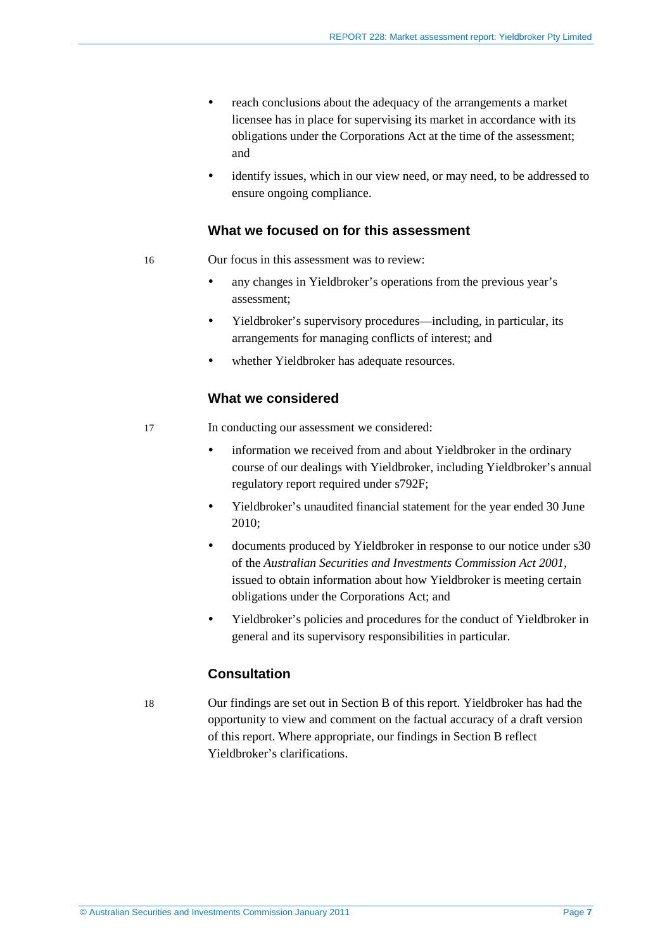- reach conclusions about the adequacy of the arrangements a market licensee has in place for supervising its market in accordance with its obligations under the Corporations Act at the time of the assessment; and
- identify issues, which in our view need, or may need, to be addressed to ensure ongoing compliance.

#### **What we focused on for this assessment**

- 16 Our focus in this assessment was to review:
	- any changes in Yieldbroker's operations from the previous year's assessment;
	- Yieldbroker's supervisory procedures—including, in particular, its arrangements for managing conflicts of interest; and
	- whether Yieldbroker has adequate resources.

#### **What we considered**

- 17 In conducting our assessment we considered:
	- information we received from and about Yieldbroker in the ordinary course of our dealings with Yieldbroker, including Yieldbroker's annual regulatory report required under s792F;
	- Yieldbroker's unaudited financial statement for the year ended 30 June 2010;
	- documents produced by Yieldbroker in response to our notice under s30 of the *Australian Securities and Investments Commission Act 2001*, issued to obtain information about how Yieldbroker is meeting certain obligations under the Corporations Act; and
	- Yieldbroker's policies and procedures for the conduct of Yieldbroker in general and its supervisory responsibilities in particular.

#### **Consultation**

18 Our findings are set out in Section [B](#page-7-0) of this report. Yieldbroker has had the opportunity to view and comment on the factual accuracy of a draft version of this report. Where appropriate, our findings in Section [B](#page-7-0) reflect Yieldbroker's clarifications.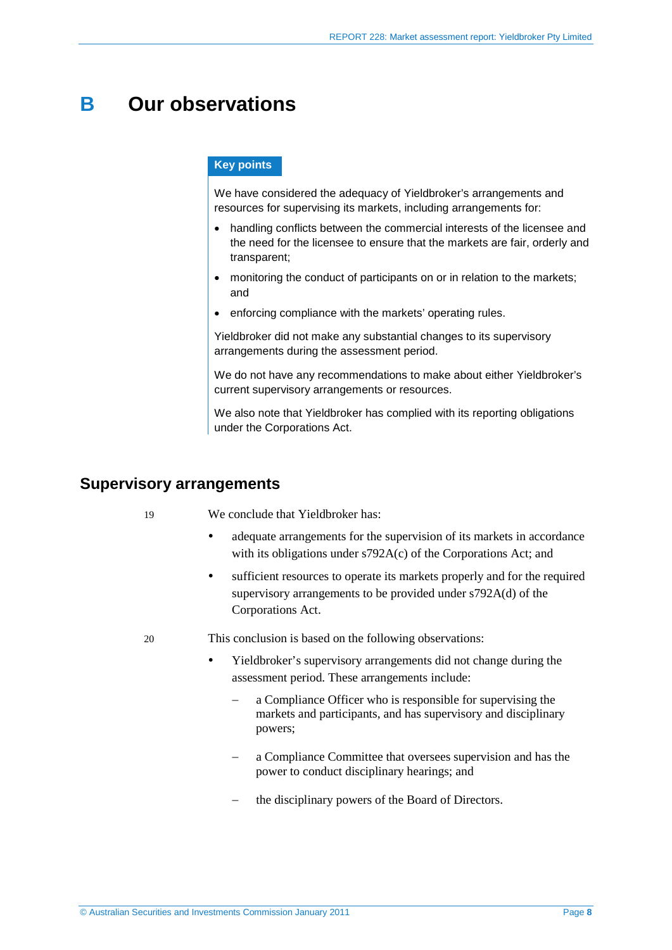## <span id="page-7-0"></span>**B Our observations**

#### **Key points**

We have considered the adequacy of Yieldbroker's arrangements and resources for supervising its markets, including arrangements for:

- handling conflicts between the commercial interests of the licensee and the need for the licensee to ensure that the markets are fair, orderly and transparent;
- monitoring the conduct of participants on or in relation to the markets; and
- enforcing compliance with the markets' operating rules.

Yieldbroker did not make any substantial changes to its supervisory arrangements during the assessment period.

We do not have any recommendations to make about either Yieldbroker's current supervisory arrangements or resources.

We also note that Yieldbroker has complied with its reporting obligations under the Corporations Act.

### <span id="page-7-1"></span>**Supervisory arrangements**

19 We conclude that Yieldbroker has:

- adequate arrangements for the supervision of its markets in accordance with its obligations under s792A(c) of the Corporations Act; and
- sufficient resources to operate its markets properly and for the required supervisory arrangements to be provided under s792A(d) of the Corporations Act.
- 20 This conclusion is based on the following observations:
	- Yieldbroker's supervisory arrangements did not change during the assessment period. These arrangements include:
		- a Compliance Officer who is responsible for supervising the markets and participants, and has supervisory and disciplinary powers;
		- a Compliance Committee that oversees supervision and has the power to conduct disciplinary hearings; and
		- the disciplinary powers of the Board of Directors.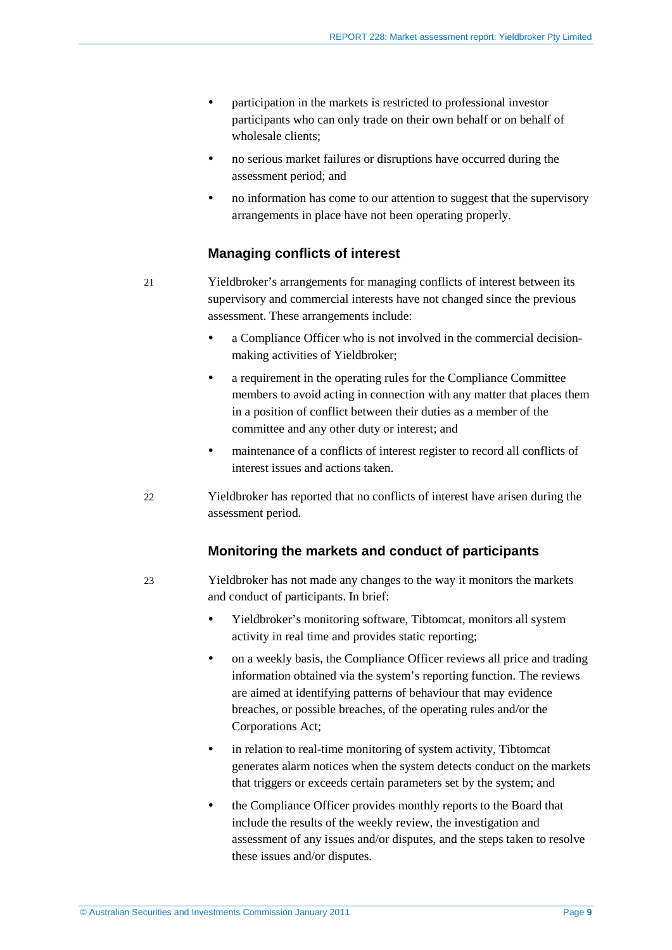- participation in the markets is restricted to professional investor participants who can only trade on their own behalf or on behalf of wholesale clients;
- no serious market failures or disruptions have occurred during the assessment period; and
- no information has come to our attention to suggest that the supervisory arrangements in place have not been operating properly.

#### **Managing conflicts of interest**

21 Yieldbroker's arrangements for managing conflicts of interest between its supervisory and commercial interests have not changed since the previous assessment. These arrangements include:

- a Compliance Officer who is not involved in the commercial decisionmaking activities of Yieldbroker;
- a requirement in the operating rules for the Compliance Committee members to avoid acting in connection with any matter that places them in a position of conflict between their duties as a member of the committee and any other duty or interest; and
- maintenance of a conflicts of interest register to record all conflicts of interest issues and actions taken.
- 22 Yieldbroker has reported that no conflicts of interest have arisen during the assessment period.

#### **Monitoring the markets and conduct of participants**

- 23 Yieldbroker has not made any changes to the way it monitors the markets and conduct of participants. In brief:
	- Yieldbroker's monitoring software, Tibtomcat, monitors all system activity in real time and provides static reporting;
	- on a weekly basis, the Compliance Officer reviews all price and trading information obtained via the system's reporting function. The reviews are aimed at identifying patterns of behaviour that may evidence breaches, or possible breaches, of the operating rules and/or the Corporations Act;
	- in relation to real-time monitoring of system activity. Tibtomcat generates alarm notices when the system detects conduct on the markets that triggers or exceeds certain parameters set by the system; and
	- the Compliance Officer provides monthly reports to the Board that include the results of the weekly review, the investigation and assessment of any issues and/or disputes, and the steps taken to resolve these issues and/or disputes.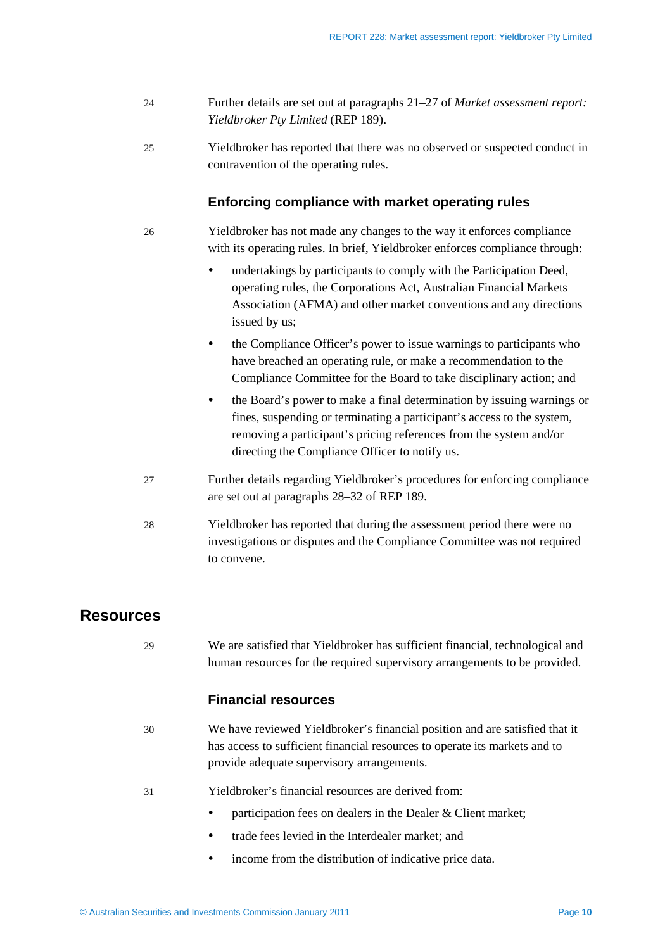- 24 Further details are set out at paragraphs 21–27 of *Market assessment report: Yieldbroker Pty Limited* (REP 189).
- 25 Yieldbroker has reported that there was no observed or suspected conduct in contravention of the operating rules.

#### **Enforcing compliance with market operating rules**

- 26 Yieldbroker has not made any changes to the way it enforces compliance with its operating rules. In brief, Yieldbroker enforces compliance through:
	- undertakings by participants to comply with the Participation Deed, operating rules, the Corporations Act, Australian Financial Markets Association (AFMA) and other market conventions and any directions issued by us;
	- the Compliance Officer's power to issue warnings to participants who have breached an operating rule, or make a recommendation to the Compliance Committee for the Board to take disciplinary action; and
	- the Board's power to make a final determination by issuing warnings or fines, suspending or terminating a participant's access to the system, removing a participant's pricing references from the system and/or directing the Compliance Officer to notify us.
- 27 Further details regarding Yieldbroker's procedures for enforcing compliance are set out at paragraphs 28–32 of REP 189.
- 28 Yieldbroker has reported that during the assessment period there were no investigations or disputes and the Compliance Committee was not required to convene.

### <span id="page-9-0"></span>**Resources**

29 We are satisfied that Yieldbroker has sufficient financial, technological and human resources for the required supervisory arrangements to be provided.

#### **Financial resources**

- 30 We have reviewed Yieldbroker's financial position and are satisfied that it has access to sufficient financial resources to operate its markets and to provide adequate supervisory arrangements.
- 31 Yieldbroker's financial resources are derived from:
	- participation fees on dealers in the Dealer & Client market:
	- trade fees levied in the Interdealer market: and
	- income from the distribution of indicative price data.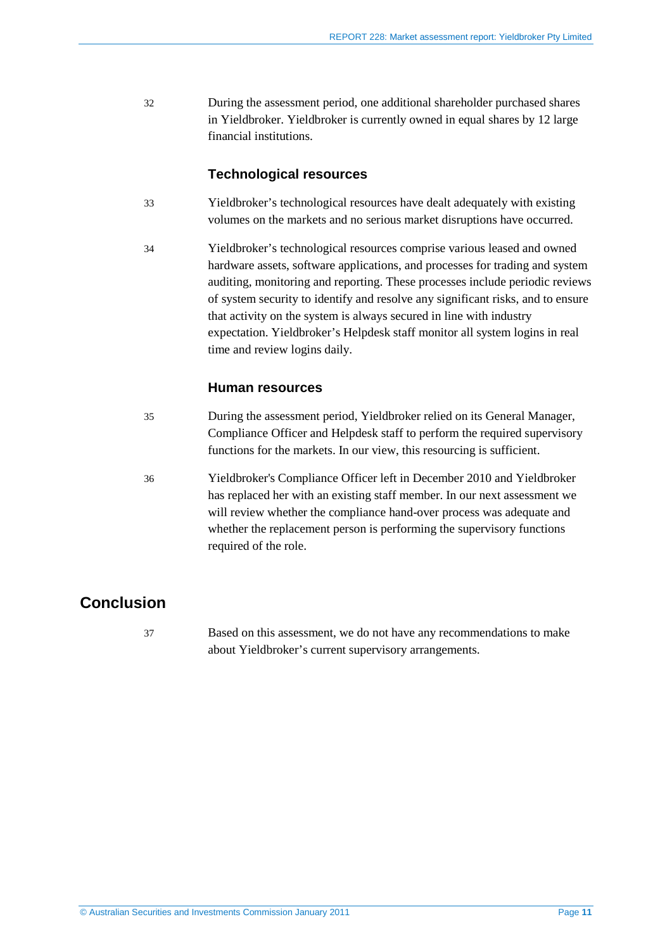32 During the assessment period, one additional shareholder purchased shares in Yieldbroker. Yieldbroker is currently owned in equal shares by 12 large financial institutions.

#### **Technological resources**

- 33 Yieldbroker's technological resources have dealt adequately with existing volumes on the markets and no serious market disruptions have occurred.
- 34 Yieldbroker's technological resources comprise various leased and owned hardware assets, software applications, and processes for trading and system auditing, monitoring and reporting. These processes include periodic reviews of system security to identify and resolve any significant risks, and to ensure that activity on the system is always secured in line with industry expectation. Yieldbroker's Helpdesk staff monitor all system logins in real time and review logins daily.

#### **Human resources**

- 35 During the assessment period, Yieldbroker relied on its General Manager, Compliance Officer and Helpdesk staff to perform the required supervisory functions for the markets. In our view, this resourcing is sufficient.
- 36 Yieldbroker's Compliance Officer left in December 2010 and Yieldbroker has replaced her with an existing staff member. In our next assessment we will review whether the compliance hand-over process was adequate and whether the replacement person is performing the supervisory functions required of the role.

## <span id="page-10-0"></span>**Conclusion**

37 Based on this assessment, we do not have any recommendations to make about Yieldbroker's current supervisory arrangements.